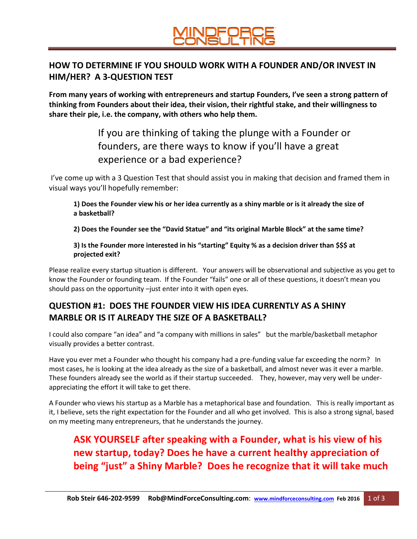#### **HOW TO DETERMINE IF YOU SHOULD WORK WITH A FOUNDER AND/OR INVEST IN HIM/HER? A 3-QUESTION TEST**

**From many years of working with entrepreneurs and startup Founders, I've seen a strong pattern of thinking from Founders about their idea, their vision, their rightful stake, and their willingness to share their pie, i.e. the company, with others who help them.**

> If you are thinking of taking the plunge with a Founder or founders, are there ways to know if you'll have a great experience or a bad experience?

I've come up with a 3 Question Test that should assist you in making that decision and framed them in visual ways you'll hopefully remember:

**1) Does the Founder view his or her idea currently as a shiny marble or is it already the size of a basketball?**

**2) Does the Founder see the "David Statue" and "its original Marble Block" at the same time?**

**3) Is the Founder more interested in his "starting" Equity % as a decision driver than \$\$\$ at projected exit?**

Please realize every startup situation is different. Your answers will be observational and subjective as you get to know the Founder or founding team. If the Founder "fails" one or all of these questions, it doesn't mean you should pass on the opportunity –just enter into it with open eyes.

### **QUESTION #1: DOES THE FOUNDER VIEW HIS IDEA CURRENTLY AS A SHINY MARBLE OR IS IT ALREADY THE SIZE OF A BASKETBALL?**

I could also compare "an idea" and "a company with millions in sales" but the marble/basketball metaphor visually provides a better contrast.

Have you ever met a Founder who thought his company had a pre-funding value far exceeding the norm? In most cases, he is looking at the idea already as the size of a basketball, and almost never was it ever a marble. These founders already see the world as if their startup succeeded. They, however, may very well be underappreciating the effort it will take to get there.

A Founder who views his startup as a Marble has a metaphorical base and foundation. This is really important as it, I believe, sets the right expectation for the Founder and all who get involved. This is also a strong signal, based on my meeting many entrepreneurs, that he understands the journey.

## **ASK YOURSELF after speaking with a Founder, what is his view of his new startup, today? Does he have a current healthy appreciation of being "just" a Shiny Marble? Does he recognize that it will take much**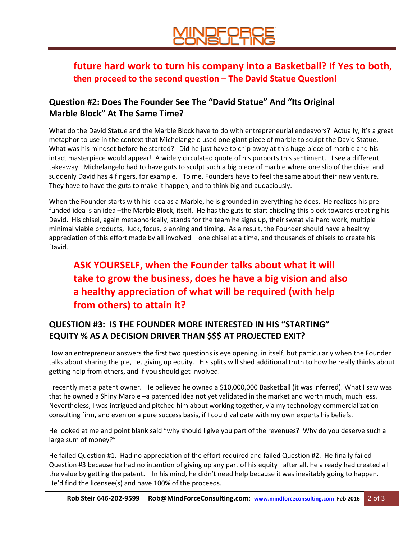### **future hard work to turn his company into a Basketball? If Yes to both, then proceed to the second question – The David Statue Question!**

#### **Question #2: Does The Founder See The "David Statue" And "Its Original Marble Block" At The Same Time?**

What do the David Statue and the Marble Block have to do with entrepreneurial endeavors? Actually, it's a great metaphor to use in the context that Michelangelo used one giant piece of marble to sculpt the David Statue. What was his mindset before he started? Did he just have to chip away at this huge piece of marble and his intact masterpiece would appear! A widely circulated quote of his purports this sentiment. I see a different takeaway. Michelangelo had to have guts to sculpt such a big piece of marble where one slip of the chisel and suddenly David has 4 fingers, for example. To me, Founders have to feel the same about their new venture. They have to have the guts to make it happen, and to think big and audaciously.

When the Founder starts with his idea as a Marble, he is grounded in everything he does. He realizes his prefunded idea is an idea –the Marble Block, itself. He has the guts to start chiseling this block towards creating his David. His chisel, again metaphorically, stands for the team he signs up, their sweat via hard work, multiple minimal viable products, luck, focus, planning and timing. As a result, the Founder should have a healthy appreciation of this effort made by all involved – one chisel at a time, and thousands of chisels to create his David.

## **ASK YOURSELF, when the Founder talks about what it will take to grow the business, does he have a big vision and also a healthy appreciation of what will be required (with help from others) to attain it?**

#### **QUESTION #3: IS THE FOUNDER MORE INTERESTED IN HIS "STARTING" EQUITY % AS A DECISION DRIVER THAN \$\$\$ AT PROJECTED EXIT?**

How an entrepreneur answers the first two questions is eye opening, in itself, but particularly when the Founder talks about sharing the pie, i.e. giving up equity. His splits will shed additional truth to how he really thinks about getting help from others, and if you should get involved.

I recently met a patent owner. He believed he owned a \$10,000,000 Basketball (it was inferred). What I saw was that he owned a Shiny Marble –a patented idea not yet validated in the market and worth much, much less. Nevertheless, I was intrigued and pitched him about working together, via my technology commercialization consulting firm, and even on a pure success basis, if I could validate with my own experts his beliefs.

He looked at me and point blank said "why should I give you part of the revenues? Why do you deserve such a large sum of money?"

He failed Question #1. Had no appreciation of the effort required and failed Question #2. He finally failed Question #3 because he had no intention of giving up any part of his equity –after all, he already had created all the value by getting the patent. In his mind, he didn't need help because it was inevitably going to happen. He'd find the licensee(s) and have 100% of the proceeds.